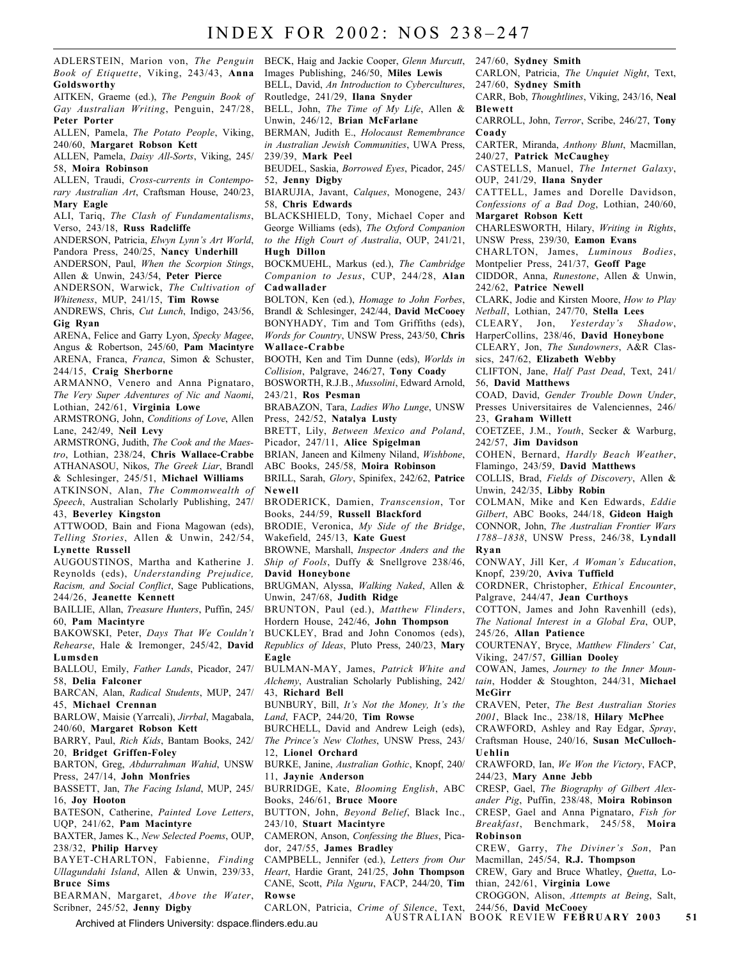ADLERSTEIN, Marion von, *The Penguin Book of Etiquette*, Viking, 243/43, **Anna Goldsworthy**

AITKEN, Graeme (ed.), *The Penguin Book of Gay Australian Writing*, Penguin, 247/28, **Peter Porter**

ALLEN, Pamela, *The Potato People*, Viking, 240/60, **Margaret Robson Kett**

ALLEN, Pamela, *Daisy All-Sorts*, Viking, 245/ 58, **Moira Robinson**

ALLEN, Traudi, *Cross-currents in Contemporary Australian Art*, Craftsman House, 240/23, **Mary Eagle**

ALI, Tariq, *The Clash of Fundamentalisms*, Verso, 243/18, **Russ Radcliffe**

ANDERSON, Patricia, *Elwyn Lynn's Art World*, Pandora Press, 240/25, **Nancy Underhill**

ANDERSON, Paul, *When the Scorpion Stings*, Allen & Unwin, 243/54, **Peter Pierce**

ANDERSON, Warwick, *The Cultivation of Whiteness*, MUP, 241/15, **Tim Rowse**

ANDREWS, Chris, *Cut Lunch*, Indigo, 243/56, **Gig Ryan**

ARENA, Felice and Garry Lyon, *Specky Magee*, Angus & Robertson, 245/60, **Pam Macintyre** ARENA, Franca, *Franca*, Simon & Schuster, 244/15, **Craig Sherborne**

ARMANNO, Venero and Anna Pignataro, *The Very Super Adventures of Nic and Naomi*, Lothian, 242/61, **Virginia Lowe**

ARMSTRONG, John, *Conditions of Love*, Allen Lane, 242/49, **Neil Levy**

ARMSTRONG, Judith, *The Cook and the Maestro*, Lothian, 238/24, **Chris Wallace-Crabbe** ATHANASOU, Nikos, *The Greek Liar*, Brandl

& Schlesinger, 245/51, **Michael Williams** ATKINSON, Alan, *The Commonwealth of Speech*, Australian Scholarly Publishing, 247/

#### 43, **Beverley Kingston**

ATTWOOD, Bain and Fiona Magowan (eds), *Telling Stories*, Allen & Unwin, 242/54, **Lynette Russell**

AUGOUSTINOS, Martha and Katherine J. Reynolds (eds), *Understanding Prejudice, Racism, and Social Conflict*, Sage Publications, 244/26, **Jeanette Kennett**

BAILLIE, Allan, *Treasure Hunters*, Puffin, 245/ 60, **Pam Macintyre**

BAKOWSKI, Peter, *Days That We Couldn't Rehearse*, Hale & Iremonger, 245/42, **David Lumsden**

BALLOU, Emily, *Father Lands*, Picador, 247/ 58, **Delia Falconer**

BARCAN, Alan, *Radical Students*, MUP, 247/ 45, **Michael Crennan**

BARLOW, Maisie (Yarrcali), *Jirrbal*, Magabala, 240/60, **Margaret Robson Kett**

BARRY, Paul, *Rich Kids*, Bantam Books, 242/ 20, **Bridget Griffen-Foley**

BARTON, Greg, *Abdurrahman Wahid*, UNSW Press, 247/14, **John Monfries**

BASSETT, Jan, *The Facing Island*, MUP, 245/ 16, **Joy Hooton**

BATESON, Catherine, *Painted Love Letters*, UQP, 241/62, **Pam Macintyre**

BAXTER, James K., *New Selected Poems*, OUP, 238/32, **Philip Harvey**

BAYET-CHARLTON, Fabienne, *Finding Ullagundahi Island*, Allen & Unwin, 239/33, **Bruce Sims**

BEARMAN, Margaret, *Above the Water*, Scribner, 245/52, **Jenny Digby**

BECK, Haig and Jackie Cooper, *Glenn Murcutt*, Images Publishing, 246/50, **Miles Lewis** BELL, David, *An Introduction to Cybercultures*, Routledge, 241/29, **Ilana Snyder** BELL, John, *The Time of My Life*, Allen &

Unwin, 246/12, **Brian McFarlane** BERMAN, Judith E., *Holocaust Remembrance*

*in Australian Jewish Communities*, UWA Press, 239/39, **Mark Peel**

BEUDEL, Saskia, *Borrowed Eyes*, Picador, 245/ 52, **Jenny Digby**

BIARUJIA, Javant, *Calques*, Monogene, 243/

58, **Chris Edwards** BLACKSHIELD, Tony, Michael Coper and George Williams (eds), *The Oxford Companion*

*to the High Court of Australia*, OUP, 241/21, **Hugh Dillon** BOCKMUEHL, Markus (ed.), *The Cambridge*

*Companion to Jesus*, CUP, 244/28, **Alan Cadwallader**

BOLTON, Ken (ed.), *Homage to John Forbes*, Brandl & Schlesinger, 242/44, **David McCooey** BONYHADY, Tim and Tom Griffiths (eds), *Words for Country*, UNSW Press, 243/50, **Chris Wallace-Crabbe**

BOOTH, Ken and Tim Dunne (eds), *Worlds in Collision*, Palgrave, 246/27, **Tony Coady**

BOSWORTH, R.J.B., *Mussolini*, Edward Arnold, 243/21, **Ros Pesman**

BRABAZON, Tara, *Ladies Who Lunge*, UNSW Press, 242/52, **Natalya Lusty**

BRETT, Lily, *Between Mexico and Poland*, Picador, 247/11, **Alice Spigelman**

BRIAN, Janeen and Kilmeny Niland, *Wishbone*, ABC Books, 245/58, **Moira Robinson**

BRILL, Sarah, *Glory*, Spinifex, 242/62, **Patrice Newell**

BRODERICK, Damien, *Transcension*, Tor Books, 244/59, **Russell Blackford**

BRODIE, Veronica, *My Side of the Bridge*, Wakefield, 245/13, **Kate Guest**

BROWNE, Marshall, *Inspector Anders and the Ship of Fools*, Duffy & Snellgrove 238/46, **David Honeybone**

BRUGMAN, Alyssa, *Walking Naked*, Allen & Unwin, 247/68, **Judith Ridge**

BRUNTON, Paul (ed.), *Matthew Flinders*, Hordern House, 242/46, **John Thompson**

BUCKLEY, Brad and John Conomos (eds), *Republics of Ideas*, Pluto Press, 240/23, **Mary Eagle**

BULMAN-MAY, James, *Patrick White and Alchemy*, Australian Scholarly Publishing, 242/ 43, **Richard Bell**

BUNBURY, Bill, *It's Not the Money, It's the Land*, FACP, 244/20, **Tim Rowse**

BURCHELL, David and Andrew Leigh (eds), *The Prince's New Clothes*, UNSW Press, 243/ 12, **Lionel Orchard**

BURKE, Janine, *Australian Gothic*, Knopf, 240/ 11, **Jaynie Anderson**

BURRIDGE, Kate, *Blooming English*, ABC Books, 246/61, **Bruce Moore**

BUTTON, John, *Beyond Belief*, Black Inc., 243/10, **Stuart Macintyre**

CAMERON, Anson, *Confessing the Blues*, Picador, 247/55, **James Bradley**

CAMPBELL, Jennifer (ed.), *Letters from Our Heart*, Hardie Grant, 241/25, **John Thompson** CANE, Scott, *Pila Nguru*, FACP, 244/20, **Tim Rowse**

CARLON, Patricia, *Crime of Silence*, Text,

247/60, **Sydney Smith**

CARLON, Patricia, *The Unquiet Night*, Text, 247/60, **Sydney Smith**

CARR, Bob, *Thoughtlines*, Viking, 243/16, **Neal Blewett**

CARROLL, John, *Terror*, Scribe, 246/27, **Tony Coady**

CARTER, Miranda, *Anthony Blunt*, Macmillan, 240/27, **Patrick McCaughey**

CASTELLS, Manuel, *The Internet Galaxy*, OUP, 241/29, **Ilana Snyder**

CATTELL, James and Dorelle Davidson, *Confessions of a Bad Dog*, Lothian, 240/60,

**Margaret Robson Kett**

CHARLESWORTH, Hilary, *Writing in Rights*, UNSW Press, 239/30, **Eamon Evans**

CHARLTON, James, *Luminous Bodies*, Montpelier Press, 241/37, **Geoff Page**

CIDDOR, Anna, *Runestone*, Allen & Unwin, 242/62, **Patrice Newell**

CLARK, Jodie and Kirsten Moore, *How to Play Netball*, Lothian, 247/70, **Stella Lees**

CLEARY, Jon, *Yesterday's Shadow*,

HarperCollins, 238/46, **David Honeybone** CLEARY, Jon, *The Sundowners*, A&R Classics, 247/62, **Elizabeth Webby**

CLIFTON, Jane, *Half Past Dead*, Text, 241/ 56, **David Matthews**

COAD, David, *Gender Trouble Down Under*, Presses Universitaires de Valenciennes, 246/ 23, **Graham Willett**

COETZEE, J.M., *Youth*, Secker & Warburg, 242/57, **Jim Davidson**

COHEN, Bernard, *Hardly Beach Weather*, Flamingo, 243/59, **David Matthews**

COLLIS, Brad, *Fields of Discovery*, Allen & Unwin, 242/35, **Libby Robin**

COLMAN, Mike and Ken Edwards, *Eddie Gilbert*, ABC Books, 244/18, **Gideon Haigh** CONNOR, John, *The Australian Frontier Wars 1788–1838*, UNSW Press, 246/38, **Lyndall Ryan**

CONWAY, Jill Ker, *A Woman's Education*, Knopf, 239/20, **Aviva Tuffield**

CORDNER, Christopher, *Ethical Encounter*, Palgrave, 244/47, **Jean Curthoys**

COTTON, James and John Ravenhill (eds), *The National Interest in a Global Era*, OUP, 245/26, **Allan Patience**

COURTENAY, Bryce, *Matthew Flinders' Cat*, Viking, 247/57, **Gillian Dooley**

COWAN, James, *Journey to the Inner Mountain*, Hodder & Stoughton, 244/31, **Michael McGirr**

CRAVEN, Peter, *The Best Australian Stories 2001*, Black Inc., 238/18, **Hilary McPhee**

CRAWFORD, Ashley and Ray Edgar, *Spray*, Craftsman House, 240/16, **Susan McCulloch-Uehlin**

CRAWFORD, Ian, *We Won the Victory*, FACP, 244/23, **Mary Anne Jebb**

CRESP, Gael, *The Biography of Gilbert Alexander Pig*, Puffin, 238/48, **Moira Robinson** CRESP, Gael and Anna Pignataro, *Fish for Breakfast*, Benchmark, 245/58, **Moira Robinson**

CREW, Garry, *The Diviner's Son*, Pan Macmillan, 245/54, **R.J. Thompson**

CREW, Gary and Bruce Whatley, *Quetta*, Lothian, 242/61, **Virginia Lowe**

CROGGON, Alison, *Attempts at Being*, Salt, 244/56, **David McCooey**

AUSTRALIAN BOOK REVIEW **FEBRUARY 2003 51**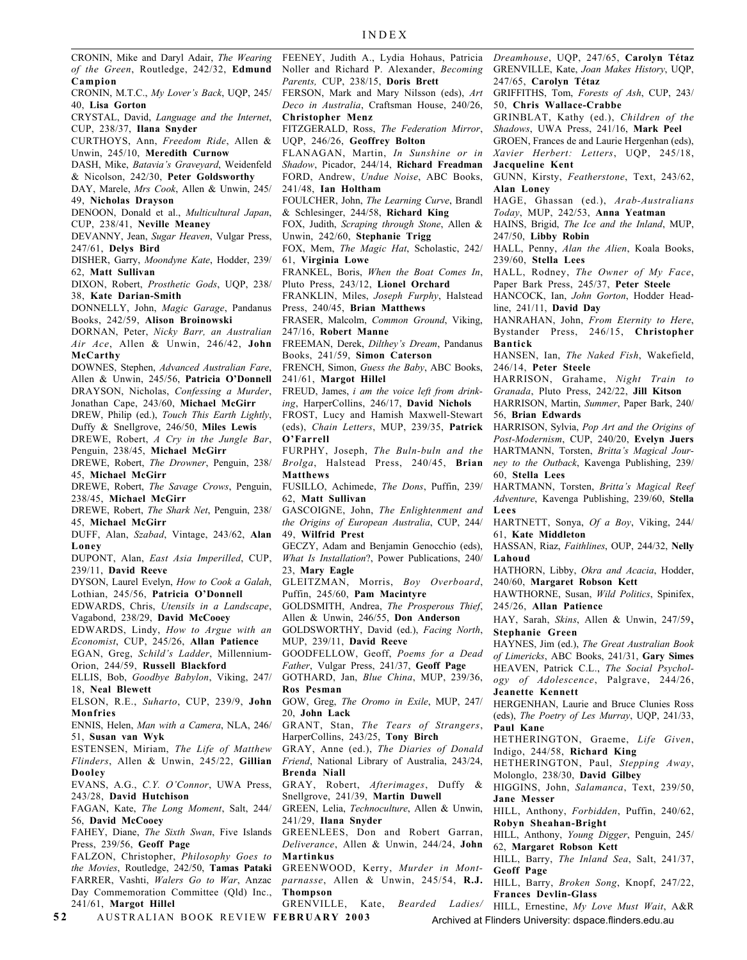CRONIN, Mike and Daryl Adair, *The Wearing of the Green*, Routledge, 242/32, **Edmund Campion**

CRONIN, M.T.C., *My Lover's Back*, UQP, 245/ 40, **Lisa Gorton**

CRYSTAL, David, *Language and the Internet*, CUP, 238/37, **Ilana Snyder**

CURTHOYS, Ann, *Freedom Ride*, Allen & Unwin, 245/10, **Meredith Curnow**

DASH, Mike, *Batavia's Graveyard*, Weidenfeld & Nicolson, 242/30, **Peter Goldsworthy**

DAY, Marele, *Mrs Cook*, Allen & Unwin, 245/ 49, **Nicholas Drayson**

DENOON, Donald et al., *Multicultural Japan*, CUP, 238/41, **Neville Meaney**

DEVANNY, Jean, *Sugar Heaven*, Vulgar Press, 247/61, **Delys Bird**

DISHER, Garry, *Moondyne Kate*, Hodder, 239/ 62, **Matt Sullivan**

DIXON, Robert, *Prosthetic Gods*, UQP, 238/ 38, **Kate Darian-Smith**

DONNELLY, John, *Magic Garage*, Pandanus Books, 242/59, **Alison Broinowski**

DORNAN, Peter, *Nicky Barr, an Australian Air Ace*, Allen & Unwin, 246/42, **John McCarthy**

DOWNES, Stephen, *Advanced Australian Fare*, Allen & Unwin, 245/56, **Patricia O'Donnell** DRAYSON, Nicholas, *Confessing a Murder*,

Jonathan Cape, 243/60, **Michael McGirr** DREW, Philip (ed.), *Touch This Earth Lightly*,

Duffy & Snellgrove, 246/50, **Miles Lewis** DREWE, Robert, *A Cry in the Jungle Bar*,

Penguin, 238/45, **Michael McGirr** DREWE, Robert, *The Drowner*, Penguin, 238/

45, **Michael McGirr**

DREWE, Robert, *The Savage Crows*, Penguin, 238/45, **Michael McGirr**

DREWE, Robert, *The Shark Net*, Penguin, 238/ 45, **Michael McGirr**

DUFF, Alan, *Szabad*, Vintage, 243/62, **Alan Loney**

DUPONT, Alan, *East Asia Imperilled*, CUP, 239/11, **David Reeve**

DYSON, Laurel Evelyn, *How to Cook a Galah*, Lothian, 245/56, **Patricia O'Donnell**

EDWARDS, Chris, *Utensils in a Landscape*, Vagabond, 238/29, **David McCooey**

EDWARDS, Lindy, *How to Argue with an*

*Economist*, CUP, 245/26, **Allan Patience** EGAN, Greg, *Schild's Ladder*, Millennium-

Orion, 244/59, **Russell Blackford** ELLIS, Bob, *Goodbye Babylon*, Viking, 247/

18, **Neal Blewett**

ELSON, R.E., *Suharto*, CUP, 239/9, **John Monfries**

ENNIS, Helen, *Man with a Camera*, NLA, 246/ 51, **Susan van Wyk**

ESTENSEN, Miriam, *The Life of Matthew Flinders*, Allen & Unwin, 245/22, **Gillian Dooley**

EVANS, A.G., *C.Y. O'Connor*, UWA Press, 243/28, **David Hutchison**

FAGAN, Kate, *The Long Moment*, Salt, 244/ 56, **David McCooey**

FAHEY, Diane, *The Sixth Swan*, Five Islands Press, 239/56, **Geoff Page**

FALZON, Christopher, *Philosophy Goes to the Movies*, Routledge, 242/50, **Tamas Pataki** FARRER, Vashti, *Walers Go to War*, Anzac Day Commemoration Committee (Qld) Inc., 241/61, **Margot Hillel**

**5 2** AUSTRALIAN BOOK REVIEW **FEBRUARY 2003**

FEENEY, Judith A., Lydia Hohaus, Patricia Noller and Richard P. Alexander, *Becoming Parents,* CUP, 238/15, **Doris Brett**

FERSON, Mark and Mary Nilsson (eds), *Art Deco in Australia*, Craftsman House, 240/26, **Christopher Menz**

FITZGERALD, Ross, *The Federation Mirror*, UQP, 246/26, **Geoffrey Bolton**

FLANAGAN, Martin, *In Sunshine or in*

*Shadow*, Picador, 244/14, **Richard Freadman**

FORD, Andrew, *Undue Noise*, ABC Books,

241/48, **Ian Holtham**

FOULCHER, John, *The Learning Curve*, Brandl & Schlesinger, 244/58, **Richard King**

FOX, Judith, *Scraping through Stone*, Allen & Unwin, 242/60, **Stephanie Trigg**

FOX, Mem, *The Magic Hat*, Scholastic, 242/ 61, **Virginia Lowe**

FRANKEL, Boris, *When the Boat Comes In*, Pluto Press, 243/12, **Lionel Orchard**

FRANKLIN, Miles, *Joseph Furphy*, Halstead Press, 240/45, **Brian Matthews**

FRASER, Malcolm, *Common Ground*, Viking, 247/16, **Robert Manne**

FREEMAN, Derek, *Dilthey's Dream*, Pandanus Books, 241/59, **Simon Caterson**

FRENCH, Simon, *Guess the Baby*, ABC Books, 241/61, **Margot Hillel**

FREUD, James, *i am the voice left from drinking*, HarperCollins, 246/17, **David Nichols**

FROST, Lucy and Hamish Maxwell-Stewart (eds), *Chain Letters*, MUP, 239/35, **Patrick O'Farrell**

FURPHY, Joseph, *The Buln-buln and the Brolga*, Halstead Press, 240/45, **Brian Matthews**

FUSILLO, Achimede, *The Dons*, Puffin, 239/ 62, **Matt Sullivan**

GASCOIGNE, John, *The Enlightenment and the Origins of European Australia*, CUP, 244/ 49, **Wilfrid Prest**

GECZY, Adam and Benjamin Genocchio (eds), *What Is Installation*?, Power Publications, 240/ 23, **Mary Eagle**

GLEITZMAN, Morris, *Boy Overboard*, Puffin, 245/60, **Pam Macintyre**

GOLDSMITH, Andrea, *The Prosperous Thief*, Allen & Unwin, 246/55, **Don Anderson**

GOLDSWORTHY, David (ed.), *Facing North*, MUP, 239/11, **David Reeve**

GOODFELLOW, Geoff, *Poems for a Dead Father*, Vulgar Press, 241/37, **Geoff Page**

GOTHARD, Jan, *Blue China*, MUP, 239/36, **Ros Pesman**

GOW, Greg, *The Oromo in Exile*, MUP, 247/ 20, **John Lack**

GRANT, Stan, *The Tears of Strangers*, HarperCollins, 243/25, **Tony Birch**

GRAY, Anne (ed.), *The Diaries of Donald Friend*, National Library of Australia, 243/24, **Brenda Niall**

GRAY, Robert, *Afterimages*, Duffy & Snellgrove, 241/39, **Martin Duwell**

GREEN, Lelia, *Technoculture*, Allen & Unwin, 241/29, **Ilana Snyder**

GREENLEES, Don and Robert Garran, *Deliverance*, Allen & Unwin, 244/24, **John Martinkus**

GREENWOOD, Kerry, *Murder in Montparnasse*, Allen & Unwin, 245/54, **R.J. Thompson**

GRENVILLE, Kate, *Bearded Ladies/*

Archived at Flinders University: dspace.flinders.edu.au

*Dreamhouse*, UQP, 247/65, **Carolyn Tétaz** GRENVILLE, Kate, *Joan Makes History*, UQP, 247/65, **Carolyn Tétaz**

GRIFFITHS, Tom, *Forests of Ash*, CUP, 243/ 50, **Chris Wallace-Crabbe**

GRINBLAT, Kathy (ed.), *Children of the Shadows*, UWA Press, 241/16, **Mark Peel**

GROEN, Frances de and Laurie Hergenhan (eds), *Xavier Herbert: Letters*, UQP, 245/18, **Jacqueline Kent**

GUNN, Kirsty, *Featherstone*, Text, 243/62, **Alan Loney**

HAGE, Ghassan (ed.), *Arab-Australians Today*, MUP, 242/53, **Anna Yeatman**

HAINS, Brigid, *The Ice and the Inland*, MUP, 247/50, **Libby Robin**

HALL, Penny, *Alan the Alien*, Koala Books, 239/60, **Stella Lees**

HALL, Rodney, *The Owner of My Face*, Paper Bark Press, 245/37, **Peter Steele**

HANCOCK, Ian, *John Gorton*, Hodder Headline, 241/11, **David Day**

HANRAHAN, John, *From Eternity to Here*, Bystander Press, 246/15, **Christopher Bantick**

HANSEN, Ian, *The Naked Fish*, Wakefield, 246/14, **Peter Steele**

HARRISON, Grahame, *Night Train to Granada*, Pluto Press, 242/22, **Jill Kitson**

HARRISON, Martin, *Summer*, Paper Bark, 240/ 56, **Brian Edwards**

HARRISON, Sylvia, *Pop Art and the Origins of Post-Modernism*, CUP, 240/20, **Evelyn Juers** HARTMANN, Torsten, *Britta's Magical Journey to the Outback*, Kavenga Publishing, 239/ 60, **Stella Lees**

HARTMANN, Torsten, *Britta's Magical Reef Adventure*, Kavenga Publishing, 239/60, **Stella Lees**

HARTNETT, Sonya, *Of a Boy*, Viking, 244/ 61, **Kate Middleton**

HASSAN, Riaz, *Faithlines*, OUP, 244/32, **Nelly Lahoud**

HATHORN, Libby, *Okra and Acacia*, Hodder, 240/60, **Margaret Robson Kett**

HAWTHORNE, Susan, *Wild Politics*, Spinifex, 245/26, **Allan Patience**

HAY, Sarah, *Skins*, Allen & Unwin, 247/59, **Stephanie Green**

HAYNES, Jim (ed.), *The Great Australian Book of Limericks*, ABC Books, 241/31, **Gary Simes** HEAVEN, Patrick C.L., *The Social Psychology of Adolescence*, Palgrave, 244/26, **Jeanette Kennett**

HERGENHAN, Laurie and Bruce Clunies Ross (eds), *The Poetry of Les Murray*, UQP, 241/33, **Paul Kane**

HETHERINGTON, Graeme, *Life Given*, Indigo, 244/58, **Richard King**

HETHERINGTON, Paul, *Stepping Away*, Molonglo, 238/30, **David Gilbey**

HIGGINS, John, *Salamanca*, Text, 239/50, **Jane Messer**

HILL, Anthony, *Forbidden*, Puffin, 240/62, **Robyn Sheahan-Bright**

HILL, Anthony, *Young Digger*, Penguin, 245/ 62, **Margaret Robson Kett**

HILL, Barry, *The Inland Sea*, Salt, 241/37, **Geoff Page** HILL, Barry, *Broken Song*, Knopf, 247/22,

HILL, Ernestine, *My Love Must Wait*, A&R

**Frances Devlin-Glass**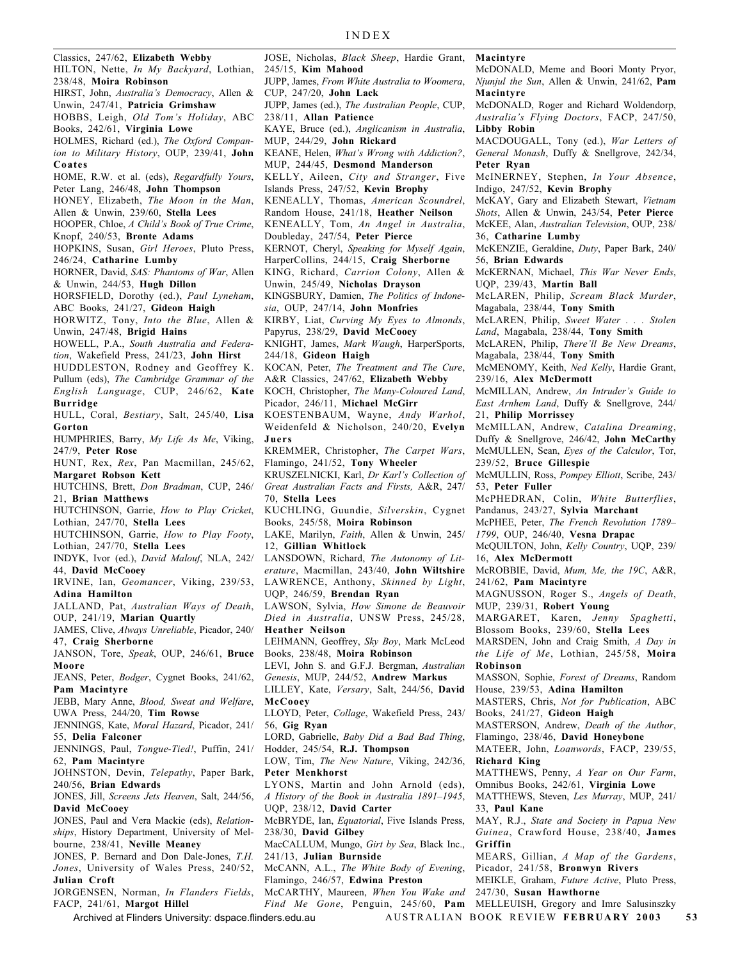Classics, 247/62, **Elizabeth Webby** HILTON, Nette, *In My Backyard*, Lothian, 238/48, **Moira Robinson** HIRST, John, *Australia's Democracy*, Allen & Unwin, 247/41, **Patricia Grimshaw** HOBBS, Leigh, *Old Tom's Holiday*, ABC Books, 242/61, **Virginia Lowe** HOLMES, Richard (ed.), *The Oxford Companion to Military History*, OUP, 239/41, **John Coates** HOME, R.W. et al. (eds), *Regardfully Yours*, Peter Lang, 246/48, **John Thompson** HONEY, Elizabeth, *The Moon in the Man*, Allen & Unwin, 239/60, **Stella Lees** HOOPER, Chloe, *A Child's Book of True Crime*, Knopf, 240/53, **Bronte Adams** HOPKINS, Susan, *Girl Heroes*, Pluto Press, 246/24, **Catharine Lumby** HORNER, David, *SAS: Phantoms of War*, Allen & Unwin, 244/53, **Hugh Dillon** HORSFIELD, Dorothy (ed.), *Paul Lyneham*, ABC Books, 241/27, **Gideon Haigh** HORWITZ, Tony, *Into the Blue*, Allen & Unwin, 247/48, **Brigid Hains** HOWELL, P.A., *South Australia and Federation*, Wakefield Press, 241/23, **John Hirst** HUDDLESTON, Rodney and Geoffrey K. Pullum (eds), *The Cambridge Grammar of the English Language*, CUP, 246/62, **Kate Burridge** HULL, Coral, *Bestiary*, Salt, 245/40, **Lisa Gorton** HUMPHRIES, Barry, *My Life As Me*, Viking, 247/9, **Peter Rose** HUNT, Rex, *Rex*, Pan Macmillan, 245/62, **Margaret Robson Kett** HUTCHINS, Brett, *Don Bradman*, CUP, 246/ 21, **Brian Matthews** HUTCHINSON, Garrie, *How to Play Cricket*, Lothian, 247/70, **Stella Lees** HUTCHINSON, Garrie, *How to Play Footy*, Lothian, 247/70, **Stella Lees** INDYK, Ivor (ed.), *David Malouf*, NLA, 242/ 44, **David McCooey** IRVINE, Ian, *Geomancer*, Viking, 239/53, **Adina Hamilton** JALLAND, Pat, *Australian Ways of Death*, OUP, 241/19, **Marian Quartly** JAMES, Clive, *Always Unreliable*, Picador, 240/ 47, **Craig Sherborne** JANSON, Tore, *Speak*, OUP, 246/61, **Bruce Moore** JEANS, Peter, *Bodger*, Cygnet Books, 241/62, **Pam Macintyre** JEBB, Mary Anne, *Blood, Sweat and Welfare*, UWA Press, 244/20, **Tim Rowse** JENNINGS, Kate, *Moral Hazard*, Picador, 241/ 55, **Delia Falconer** JENNINGS, Paul, *Tongue-Tied!*, Puffin, 241/ 62, **Pam Macintyre** JOHNSTON, Devin, *Telepathy*, Paper Bark, 240/56, **Brian Edwards** JONES, Jill, *Screens Jets Heaven*, Salt, 244/56, **David McCooey** JONES, Paul and Vera Mackie (eds), *Relationships*, History Department, University of Melbourne, 238/41, **Neville Meaney** JONES, P. Bernard and Don Dale-Jones, *T.H. Jones*, University of Wales Press, 240/52, **Julian Croft** JORGENSEN, Norman, *In Flanders Fields*, JOSE, Nicholas, *Black Sheep*, Hardie Grant, 245/15, **Kim Mahood** JUPP, James, *From White Australia to Woomera*, CUP, 247/20, **John Lack** JUPP, James (ed.), *The Australian People*, CUP, 238/11, **Allan Patience** KAYE, Bruce (ed.), *Anglicanism in Australia*, MUP, 244/29, **John Rickard** KEANE, Helen, *What's Wrong with Addiction?*, MUP, 244/45, **Desmond Manderson** KELLY, Aileen, *City and Stranger*, Five Islands Press, 247/52, **Kevin Brophy** KENEALLY, Thomas, *American Scoundrel*, Random House, 241/18, **Heather Neilson** KENEALLY, Tom, *An Angel in Australia*, Doubleday, 247/54, **Peter Pierce** KERNOT, Cheryl, *Speaking for Myself Again*, HarperCollins, 244/15, **Craig Sherborne** KING, Richard, *Carrion Colony*, Allen & Unwin, 245/49, **Nicholas Drayson** KINGSBURY, Damien, *The Politics of Indonesia*, OUP, 247/14, **John Monfries** KIRBY, Liat, *Curving My Eyes to Almonds*, Papyrus, 238/29, **David McCooey** KNIGHT, James, *Mark Waugh*, HarperSports, 244/18, **Gideon Haigh** KOCAN, Peter, *The Treatment and The Cure*, A&R Classics, 247/62, **Elizabeth Webby** KOCH, Christopher, *The Many-Coloured Land*, Picador, 246/11, **Michael McGirr** KOESTENBAUM, Wayne, *Andy Warhol*, Weidenfeld & Nicholson, 240/20, **Evelyn Juers** KREMMER, Christopher, *The Carpet Wars*, Flamingo, 241/52, **Tony Wheeler** KRUSZELNICKI, Karl, *Dr Karl's Collection of Great Australian Facts and Firsts,* A&R, 247/ 70, **Stella Lees** KUCHLING, Guundie, *Silverskin*, Cygnet Books, 245/58, **Moira Robinson** LAKE, Marilyn, *Faith*, Allen & Unwin, 245/ 12, **Gillian Whitlock** LANSDOWN, Richard, *The Autonomy of Literature*, Macmillan, 243/40, **John Wiltshire** LAWRENCE, Anthony, *Skinned by Light*, UQP, 246/59, **Brendan Ryan** LAWSON, Sylvia, *How Simone de Beauvoir Died in Australia*, UNSW Press, 245/28, **Heather Neilson** LEHMANN, Geoffrey, *Sky Boy*, Mark McLeod Books, 238/48, **Moira Robinson** LEVI, John S. and G.F.J. Bergman, *Australian Genesis*, MUP, 244/52, **Andrew Markus** LILLEY, Kate, *Versary*, Salt, 244/56, **David McCooey** LLOYD, Peter, *Collage*, Wakefield Press, 243/ 56, **Gig Ryan** LORD, Gabrielle, *Baby Did a Bad Bad Thing*, Hodder, 245/54, **R.J. Thompson** LOW, Tim, *The New Nature*, Viking, 242/36, **Peter Menkhorst** LYONS, Martin and John Arnold (eds), *A History of the Book in Australia 1891–1945*, UQP, 238/12, **David Carter** McBRYDE, Ian, *Equatorial*, Five Islands Press, 238/30, **David Gilbey** MacCALLUM, Mungo, *Girt by Sea*, Black Inc., 241/13, **Julian Burnside** McCANN, A.L., *The White Body of Evening*, Flamingo, 246/57, **Edwina Preston** McCARTHY, Maureen, *When You Wake and* **Macintyre** McDONALD, Meme and Boori Monty Pryor, *Njunjul the Sun*, Allen & Unwin, 241/62, **Pam Macintyre** McDONALD, Roger and Richard Woldendorp, *Australia's Flying Doctors*, FACP, 247/50, **Libby Robin** MACDOUGALL, Tony (ed.), *War Letters of General Monash*, Duffy & Snellgrove, 242/34, **Peter Ryan** McINERNEY, Stephen, *In Your Absence*, Indigo, 247/52, **Kevin Brophy** McKAY, Gary and Elizabeth Stewart, *Vietnam Shots*, Allen & Unwin, 243/54, **Peter Pierce** McKEE, Alan, *Australian Television*, OUP, 238/ 36, **Catharine Lumby** McKENZIE, Geraldine, *Duty*, Paper Bark, 240/ 56, **Brian Edwards** McKERNAN, Michael, *This War Never Ends*, UQP, 239/43, **Martin Ball** McLAREN, Philip, *Scream Black Murder*, Magabala, 238/44, **Tony Smith** McLAREN, Philip, *Sweet Water . . . Stolen Land*, Magabala, 238/44, **Tony Smith** McLAREN, Philip, *There'll Be New Dreams*, Magabala, 238/44, **Tony Smith** McMENOMY, Keith, *Ned Kelly*, Hardie Grant, 239/16, **Alex McDermott** McMILLAN, Andrew, *An Intruder's Guide to East Arnhem Land*, Duffy & Snellgrove, 244/ 21, **Philip Morrissey** McMILLAN, Andrew, *Catalina Dreaming*, Duffy & Snellgrove, 246/42, **John McCarthy** McMULLEN, Sean, *Eyes of the Calculor*, Tor, 239/52, **Bruce Gillespie** McMULLIN, Ross, *Pompey Elliott*, Scribe, 243/ 53, **Peter Fuller** McPHEDRAN, Colin, *White Butterflies*, Pandanus, 243/27, **Sylvia Marchant** McPHEE, Peter, *The French Revolution 1789– 1799*, OUP, 246/40, **Vesna Drapac** McQUILTON, John, *Kelly Country*, UQP, 239/ 16, **Alex McDermott** McROBBIE, David, *Mum, Me, the 19C*, A&R, 241/62, **Pam Macintyre** MAGNUSSON, Roger S., *Angels of Death*, MUP, 239/31, **Robert Young** MARGARET, Karen, *Jenny Spaghetti*, Blossom Books, 239/60, **Stella Lees** MARSDEN, John and Craig Smith, *A Day in the Life of Me*, Lothian, 245/58, **Moira Robinson** MASSON, Sophie, *Forest of Dreams*, Random House, 239/53, **Adina Hamilton** MASTERS, Chris, *Not for Publication*, ABC Books, 241/27, **Gideon Haigh** MASTERSON, Andrew, *Death of the Author*, Flamingo, 238/46, **David Honeybone** MATEER, John, *Loanwords*, FACP, 239/55, **Richard King** MATTHEWS, Penny, *A Year on Our Farm*, Omnibus Books, 242/61, **Virginia Lowe** MATTHEWS, Steven, *Les Murray*, MUP, 241/ 33, **Paul Kane** MAY, R.J., *State and Society in Papua New Guinea*, Crawford House, 238/40, **James Griffin** MEARS, Gillian, *A Map of the Gardens*, Picador, 241/58, **Bronwyn Rivers** MEIKLE, Graham, *Future Active*, Pluto Press, 247/30, **Susan Hawthorne** INDEX

Archived at Flinders University: dspace.flinders.edu.au

FACP, 241/61, **Margot Hillel**

AUSTRALIAN BOOK REVIEW **FEBRUARY 2003 53** *Find Me Gone*, Penguin, 245/60, **Pam** MELLEUISH, Gregory and Imre Salusinszky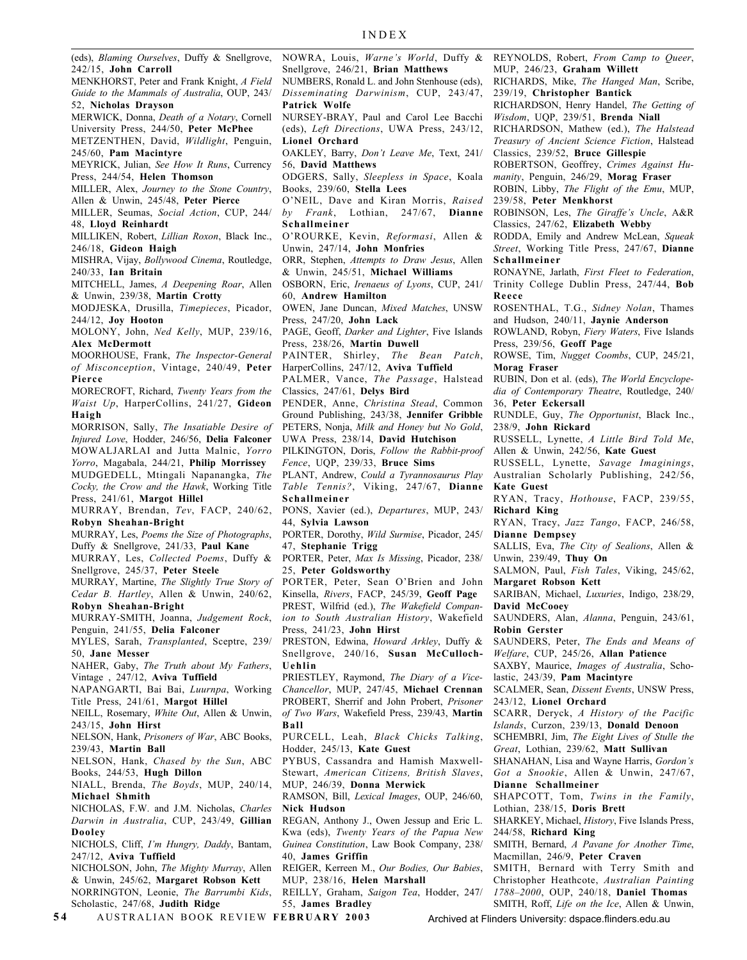(eds), *Blaming Ourselves*, Duffy & Snellgrove, 242/15, **John Carroll** MENKHORST, Peter and Frank Knight, *A Field Guide to the Mammals of Australia*, OUP, 243/ 52, **Nicholas Drayson** MERWICK, Donna, *Death of a Notary*, Cornell University Press, 244/50, **Peter McPhee** METZENTHEN, David, *Wildlight*, Penguin, 245/60, **Pam Macintyre** MEYRICK, Julian, *See How It Runs*, Currency Press, 244/54, **Helen Thomson** MILLER, Alex, *Journey to the Stone Country*, Allen & Unwin, 245/48, **Peter Pierce** MILLER, Seumas, *Social Action*, CUP, 244/ 48, **Lloyd Reinhardt** MILLIKEN, Robert, *Lillian Roxon*, Black Inc., 246/18, **Gideon Haigh** MISHRA, Vijay, *Bollywood Cinema*, Routledge, 240/33, **Ian Britain** MITCHELL, James, *A Deepening Roar*, Allen & Unwin, 239/38, **Martin Crotty** MODJESKA, Drusilla, *Timepieces*, Picador, 244/12, **Joy Hooton** MOLONY, John, *Ned Kelly*, MUP, 239/16, **Alex McDermott** MOORHOUSE, Frank, *The Inspector-General of Misconception*, Vintage, 240/49, **Peter Pierce** MORECROFT, Richard, *Twenty Years from the Waist Up*, HarperCollins, 241/27, **Gideon Haigh** MORRISON, Sally, *The Insatiable Desire of Injured Love*, Hodder, 246/56, **Delia Falconer** MOWALJARLAI and Jutta Malnic, *Yorro Yorro*, Magabala, 244/21, **Philip Morrissey** MUDGEDELL, Mtingali Napanangka, *The Cocky, the Crow and the Hawk*, Working Title Press, 241/61, **Margot Hillel** MURRAY, Brendan, *Tev*, FACP, 240/62, **Robyn Sheahan-Bright** MURRAY, Les, *Poems the Size of Photographs*, Duffy & Snellgrove, 241/33, **Paul Kane** MURRAY, Les, *Collected Poems*, Duffy & Snellgrove, 245/37, **Peter Steele** MURRAY, Martine, *The Slightly True Story of Cedar B. Hartley*, Allen & Unwin, 240/62, **Robyn Sheahan-Bright** MURRAY-SMITH, Joanna, *Judgement Rock*, Penguin, 241/55, **Delia Falconer** MYLES, Sarah, *Transplanted*, Sceptre, 239/ 50, **Jane Messer** NAHER, Gaby, *The Truth about My Fathers*, Vintage , 247/12, **Aviva Tuffield** NAPANGARTI, Bai Bai, *Luurnpa*, Working Title Press, 241/61, **Margot Hillel** NEILL, Rosemary, *White Out*, Allen & Unwin, 243/15, **John Hirst Uehlin Ball**

NELSON, Hank, *Prisoners of War*, ABC Books, 239/43, **Martin Ball**

NELSON, Hank, *Chased by the Sun*, ABC Books, 244/53, **Hugh Dillon**

NIALL, Brenda, *The Boyds*, MUP, 240/14, **Michael Shmith**

NICHOLAS, F.W. and J.M. Nicholas, *Charles Darwin in Australia*, CUP, 243/49, **Gillian Dooley**

NICHOLS, Cliff, *I'm Hungry, Daddy*, Bantam, 247/12, **Aviva Tuffield**

NICHOLSON, John, *The Mighty Murray*, Allen & Unwin, 245/62, **Margaret Robson Kett** NORRINGTON, Leonie, *The Barrumbi Kids*, Scholastic, 247/68, **Judith Ridge**

**5 4** AUSTRALIAN BOOK REVIEW **FEBRUARY 2003**

NOWRA, Louis, *Warne's World*, Duffy & Snellgrove, 246/21, **Brian Matthews**

NUMBERS, Ronald L. and John Stenhouse (eds), *Disseminating Darwinism*, CUP, 243/47, **Patrick Wolfe**

NURSEY-BRAY, Paul and Carol Lee Bacchi (eds), *Left Directions*, UWA Press, 243/12, **Lionel Orchard**

OAKLEY, Barry, *Don't Leave Me*, Text, 241/ 56, **David Matthews**

ODGERS, Sally, *Sleepless in Space*, Koala Books, 239/60, **Stella Lees**

O'NEIL, Dave and Kiran Morris, *Raised by Frank*, Lothian, 247/67, **Dianne Schallmeiner**

O'ROURKE, Kevin, *Reformasi*, Allen & Unwin, 247/14, **John Monfries**

ORR, Stephen, *Attempts to Draw Jesus*, Allen & Unwin, 245/51, **Michael Williams**

OSBORN, Eric, *Irenaeus of Lyons*, CUP, 241/ 60, **Andrew Hamilton**

OWEN, Jane Duncan, *Mixed Matches*, UNSW Press, 247/20, **John Lack**

PAGE, Geoff, *Darker and Lighter*, Five Islands Press, 238/26, **Martin Duwell**

PAINTER, Shirley, *The Bean Patch*, HarperCollins, 247/12, **Aviva Tuffield**

PALMER, Vance, *The Passage*, Halstead Classics, 247/61, **Delys Bird**

PENDER, Anne, *Christina Stead*, Common Ground Publishing, 243/38, **Jennifer Gribble** PETERS, Nonja, *Milk and Honey but No Gold*, UWA Press, 238/14, **David Hutchison**

PILKINGTON, Doris, *Follow the Rabbit-proof*

*Fence*, UQP, 239/33, **Bruce Sims**

PLANT, Andrew, *Could a Tyrannosaurus Play Table Tennis?*, Viking, 247/67, **Dianne Schallmeiner**

PONS, Xavier (ed.), *Departures*, MUP, 243/ 44, **Sylvia Lawson**

PORTER, Dorothy, *Wild Surmise*, Picador, 245/ 47, **Stephanie Trigg**

PORTER, Peter, *Max Is Missing*, Picador, 238/ 25, **Peter Goldsworthy**

PORTER, Peter, Sean O'Brien and John Kinsella, *Rivers*, FACP, 245/39, **Geoff Page** PREST, Wilfrid (ed.), *The Wakefield Companion to South Australian History*, Wakefield Press, 241/23, **John Hirst**

PRESTON, Edwina, *Howard Arkley*, Duffy & Snellgrove, 240/16, **Susan McCulloch-**

PRIESTLEY, Raymond, *The Diary of a Vice-Chancellor*, MUP, 247/45, **Michael Crennan** PROBERT, Sherrif and John Probert, *Prisoner of Two Wars*, Wakefield Press, 239/43, **Martin**

PURCELL, Leah, *Black Chicks Talking*, Hodder, 245/13, **Kate Guest**

PYBUS, Cassandra and Hamish Maxwell-Stewart, *American Citizens, British Slaves*, MUP, 246/39, **Donna Merwick**

RAMSON, Bill, *Lexical Images*, OUP, 246/60, **Nick Hudson**

REGAN, Anthony J., Owen Jessup and Eric L. Kwa (eds), *Twenty Years of the Papua New Guinea Constitution*, Law Book Company, 238/ 40, **James Griffin**

REIGER, Kerreen M., *Our Bodies, Our Babies*, MUP, 238/16, **Helen Marshall**

REILLY, Graham, *Saigon Tea*, Hodder, 247/ 55, **James Bradley**

REYNOLDS, Robert, *From Camp to Queer*, MUP, 246/23, **Graham Willett**

RICHARDS, Mike, *The Hanged Man*, Scribe, 239/19, **Christopher Bantick**

RICHARDSON, Henry Handel, *The Getting of Wisdom*, UQP, 239/51, **Brenda Niall**

RICHARDSON, Mathew (ed.), *The Halstead Treasury of Ancient Science Fiction*, Halstead Classics, 239/52, **Bruce Gillespie**

ROBERTSON, Geoffrey, *Crimes Against Hu-*

*manity*, Penguin, 246/29, **Morag Fraser** ROBIN, Libby, *The Flight of the Emu*, MUP,

239/58, **Peter Menkhorst**

ROBINSON, Les, *The Giraffe's Uncle*, A&R Classics, 247/62, **Elizabeth Webby**

RODDA, Emily and Andrew McLean, *Squeak Street*, Working Title Press, 247/67, **Dianne Schallmeiner**

RONAYNE, Jarlath, *First Fleet to Federation*, Trinity College Dublin Press, 247/44, **Bob Reece**

ROSENTHAL, T.G., *Sidney Nolan*, Thames and Hudson, 240/11, **Jaynie Anderson**

ROWLAND, Robyn, *Fiery Waters*, Five Islands Press, 239/56, **Geoff Page**

ROWSE, Tim, *Nugget Coombs*, CUP, 245/21, **Morag Fraser**

RUBIN, Don et al. (eds), *The World Encyclopedia of Contemporary Theatre*, Routledge, 240/ 36, **Peter Eckersall**

RUNDLE, Guy, *The Opportunist*, Black Inc., 238/9, **John Rickard**

RUSSELL, Lynette, *A Little Bird Told Me*, Allen & Unwin, 242/56, **Kate Guest**

RUSSELL, Lynette, *Savage Imaginings*, Australian Scholarly Publishing, 242/56, **Kate Guest**

RYAN, Tracy, *Hothouse*, FACP, 239/55, **Richard King**

RYAN, Tracy, *Jazz Tango*, FACP, 246/58, **Dianne Dempsey**

SALLIS, Eva, *The City of Sealions*, Allen & Unwin, 239/49, **Thuy On**

SALMON, Paul, *Fish Tales*, Viking, 245/62, **Margaret Robson Kett**

SARIBAN, Michael, *Luxuries*, Indigo, 238/29, **David McCooey**

SAUNDERS, Alan, *Alanna*, Penguin, 243/61, **Robin Gerster**

SAUNDERS, Peter, *The Ends and Means of Welfare*, CUP, 245/26, **Allan Patience**

SAXBY, Maurice, *Images of Australia*, Scholastic, 243/39, **Pam Macintyre**

SCALMER, Sean, *Dissent Events*, UNSW Press, 243/12, **Lionel Orchard**

SCARR, Deryck, *A History of the Pacific Islands*, Curzon, 239/13, **Donald Denoon**

SCHEMBRI, Jim, *The Eight Lives of Stulle the Great*, Lothian, 239/62, **Matt Sullivan**

SHANAHAN, Lisa and Wayne Harris, *Gordon's Got a Snookie*, Allen & Unwin, 247/67, **Dianne Schallmeiner**

SHAPCOTT, Tom, *Twins in the Family*,

Lothian, 238/15, **Doris Brett**

SHARKEY, Michael, *History*, Five Islands Press, 244/58, **Richard King**

SMITH, Bernard, *A Pavane for Another Time*, Macmillan, 246/9, **Peter Craven**

SMITH, Bernard with Terry Smith and Christopher Heathcote, *Australian Painting 1788–2000*, OUP, 240/18, **Daniel Thomas**

SMITH, Roff, *Life on the Ice*, Allen & Unwin,

Archived at Flinders University: dspace.flinders.edu.au